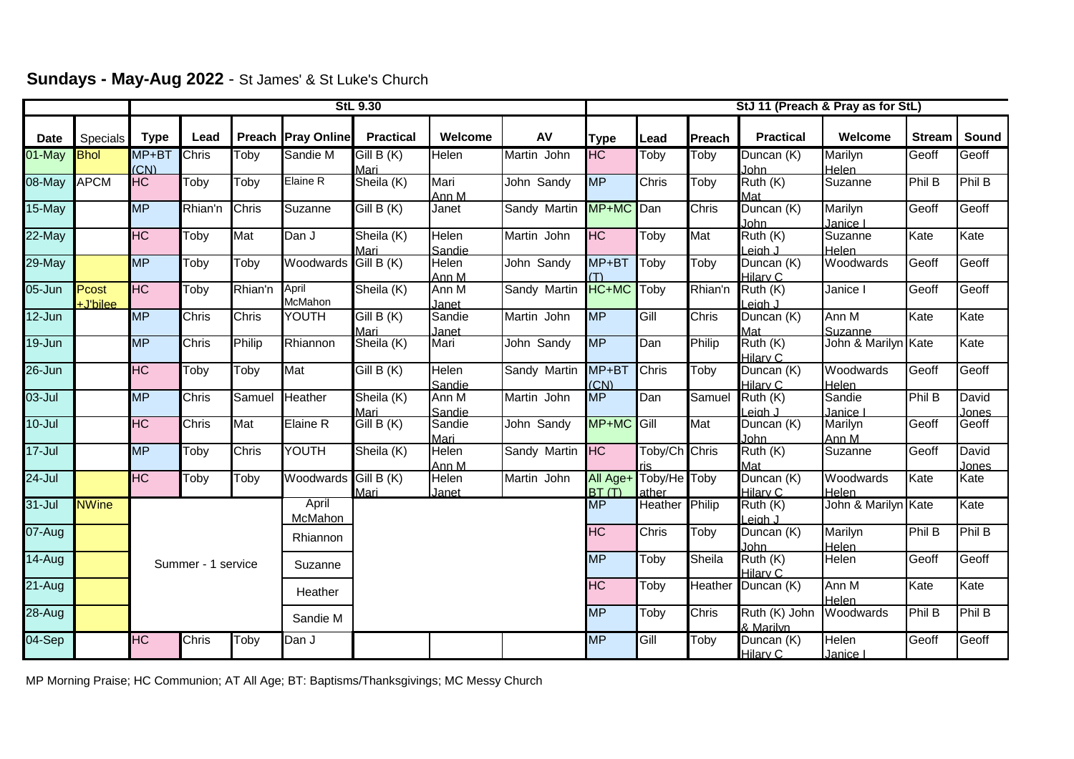|             |                   | <b>StL 9.30</b>          |              |              |                           |                          |                          |                             |                          | StJ 11 (Preach & Pray as for StL) |                       |                           |                           |               |                |
|-------------|-------------------|--------------------------|--------------|--------------|---------------------------|--------------------------|--------------------------|-----------------------------|--------------------------|-----------------------------------|-----------------------|---------------------------|---------------------------|---------------|----------------|
| <b>Date</b> | Specials          | <b>Type</b>              | Lead         |              | <b>Preach Pray Online</b> | <b>Practical</b>         | Welcome                  | AV                          | <b>Type</b>              | Lead                              | Preach                | <b>Practical</b>          | Welcome                   | <b>Stream</b> | Sound          |
| 01-May      | <b>Bhol</b>       | MP+BT<br>(CN)            | Chris        | Toby         | Sandie M                  | GillB(K)<br>Mari         | Helen                    | Martin John                 | <b>HC</b>                | Toby                              | Toby                  | Duncan (K)<br><b>John</b> | Marilyn<br>Helen          | Geoff         | Geoff          |
| 08-May      | <b>APCM</b>       | HC                       | Toby         | Toby         | Elaine R                  | Sheila (K)               | Mari<br>Ann M            | John Sandy                  | <b>MP</b>                | Chris                             | Toby                  | Ruth (K)<br>Mat           | Suzanne                   | Phil B        | Phil B         |
| $15$ -May   |                   | $\overline{\mathsf{MP}}$ | Rhian'n      | <b>Chris</b> | Suzanne                   | $\overline{GillB(K)}$    | Janet                    | Sandy Martin                | MP+MC                    | Dan                               | Chris                 | Duncan (K)<br>John        | Marilyn<br>Janice I       | Geoff         | Geoff          |
| $22$ -May   |                   | HC                       | Toby         | Mat          | Dan J                     | Sheila (K)<br>Mari       | Helen<br>Sandie          | Martin John                 | HC                       | Toby                              | Mat                   | Ruth (K)<br>Leigh J       | Suzanne<br>Helen          | Kate          | Kate           |
| 29-May      |                   | <b>MP</b>                | Toby         | Toby         | Woodwards Gill B (K)      |                          | Helen<br>Ann M           | John Sandy                  | MP+BT                    | Toby                              | Toby                  | Duncan (K)<br>Hilary C    | Woodwards                 | Geoff         | Geoff          |
| 05-Jun      | Pcost<br>+J'bilee | H <sub>C</sub>           | Toby         | Rhian'n      | April<br>McMahon          | Sheila (K)               | Ann M<br>Janet           | Sandy Martin                | HC+MC                    | Toby                              | Rhian'n               | Ruth (K)<br>Leiah J       | Janice I                  | Geoff         | Geoff          |
| 12-Jun      |                   | <b>MP</b>                | <b>Chris</b> | <b>Chris</b> | YOUTH                     | Gill B (K)<br>Mari       | Sandie<br>Janet          | Martin John                 | <b>MP</b>                | Gill                              | Chris                 | Duncan (K)<br>Mat         | Ann M<br>Suzanne          | Kate          | Kate           |
| 19-Jun      |                   | <b>MP</b>                | Chris        | Philip       | Rhiannon                  | Sheila (K)               | Mari                     | John Sandy                  | <b>MP</b>                | Dan                               | Philip                | Ruth (K)<br>Hilary C      | John & Marilyn Kate       |               | Kate           |
| $26 - Jun$  |                   | <b>HC</b>                | Toby         | Toby         | Mat                       | $\overline{G}$ ill B (K) | Helen<br>Sandie          | Sandy Martin                | MP+BT<br>(CN)            | <b>Chris</b>                      | Toby                  | Duncan (K)<br>Hilary C    | Woodwards<br><b>Helen</b> | Geoff         | Geoff          |
| 03-Jul      |                   | <b>MP</b>                | <b>Chris</b> | Samuel       | Heather                   | Sheila (K)<br>Mari       | Ann M<br>Sandie          | Martin John                 | $\overline{\mathsf{MP}}$ | Dan                               | Samuel                | Ruth (K)<br>eigh J        | Sandie<br>Janice I        | Phil B        | David<br>Jones |
| $10 -$ Jul  |                   | HC                       | Chris        | Mat          | Elaine R                  | Gill B (K)               | Sandie<br>Mari           | John Sandy                  | MP+MC                    | <b>Cill</b>                       | Mat                   | Duncan (K)<br>John        | Marilyn<br>Ann M          | Geoff         | Geoff          |
| $17 -$ Jul  |                   | <b>MP</b>                | Toby         | Chris        | YOUTH                     | Sheila (K)               | Helen<br>Ann M           | Sandy Martin                | <b>HC</b>                | Toby/Ch Chris                     |                       | Ruth (K)<br>Mat           | Suzanne                   | Geoff         | David<br>Jones |
| $24 -$ Jul  |                   | H <sub>C</sub>           | Toby         | Toby         | Woodwards                 | GillB(K)<br>Mari         | Helen<br>Janet           | Martin John                 | All Age+<br>BT(T)        | Toby/He Toby<br>ather             |                       | Duncan (K)<br>Hilary C    | Woodwards<br>Helen        | Kate          | Kate           |
| $31 -$ Jul  | <b>NWine</b>      |                          |              |              | April<br>McMahon          |                          |                          |                             | $\overline{\sf MP}$      | Heather                           | Philip                | Ruth (K)<br>Leigh J       | John & Marilyn Kate       |               | Kate           |
| $07 - Aug$  |                   | Summer - 1 service       |              |              | Rhiannon                  |                          |                          |                             | $\overline{\text{HC}}$   | <b>Chris</b>                      | Toby                  | Duncan (K)<br>John        | Marilyn<br><b>Helen</b>   | Phil B        | Phil B         |
| $14$ -Aug   |                   |                          |              |              | Suzanne                   |                          | <b>MP</b>                | Toby                        | Sheila                   | Ruth (K)<br>Hilarv C              | Helen                 | Geoff                     | Geoff                     |               |                |
| $21-Aug$    |                   |                          |              |              | Heather                   |                          | $\overline{\mathrm{HC}}$ | $\overline{\mathsf{T}}$ oby | Heather                  | Duncan (K)                        | Ann M<br><b>Helen</b> | Kate                      | Kate                      |               |                |
| 28-Aug      |                   |                          |              |              | Sandie M                  |                          | <b>MP</b>                | Toby                        | Chris                    | Ruth (K) John<br>& Marilyn        | Woodwards             | <b>Phil B</b>             | Phil B                    |               |                |
| 04-Sep      |                   | HC                       | <b>Chris</b> | Toby         | Dan J                     |                          |                          |                             | <b>MP</b>                | Gill                              | Toby                  | Duncan (K)<br>Hilary C    | <b>Helen</b><br>Janice I  | Geoff         | Geoff          |

**Sundays - May-Aug 2022** - St James' & St Luke's Church

MP Morning Praise; HC Communion; AT All Age; BT: Baptisms/Thanksgivings; MC Messy Church